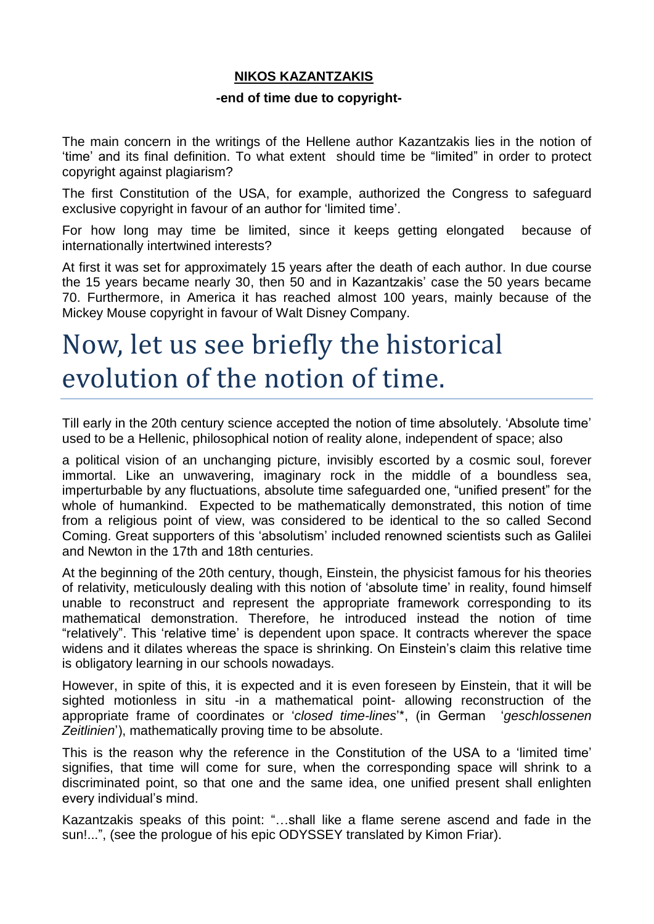## **NIKOS KAZANTZAKIS**

### **-end of time due to copyright-**

The main concern in the writings of the Hellene author Kazantzakis lies in the notion of 'time' and its final definition. To what extent should time be "limited" in order to protect copyright against plagiarism?

The first Constitution of the USA, for example, authorized the Congress to safeguard exclusive copyright in favour of an author for 'limited time'.

For how long may time be limited, since it keeps getting elongated because of internationally intertwined interests?

At first it was set for approximately 15 years after the death of each author. In due course the 15 years became nearly 30, then 50 and in Kazantzakis' case the 50 years became 70. Furthermore, in America it has reached almost 100 years, mainly because of the Mickey Mouse copyright in favour of Walt Disney Company.

# Now, let us see briefly the historical evolution of the notion of time.

Till early in the 20th century science accepted the notion of time absolutely. 'Absolute time' used to be a Hellenic, philosophical notion of reality alone, independent of space; also

a political vision of an unchanging picture, invisibly escorted by a cosmic soul, forever immortal. Like an unwavering, imaginary rock in the middle of a boundless sea, imperturbable by any fluctuations, absolute time safeguarded one, "unified present" for the whole of humankind. Expected to be mathematically demonstrated, this notion of time from a religious point of view, was considered to be identical to the so called Second Coming. Great supporters of this 'absolutism' included renowned scientists such as Galilei and Newton in the 17th and 18th centuries.

At the beginning of the 20th century, though, Einstein, the physicist famous for his theories of relativity, meticulously dealing with this notion of 'absolute time' in reality, found himself unable to reconstruct and represent the appropriate framework corresponding to its mathematical demonstration. Therefore, he introduced instead the notion of time "relatively". This 'relative time' is dependent upon space. It contracts wherever the space widens and it dilates whereas the space is shrinking. On Einstein's claim this relative time is obligatory learning in our schools nowadays.

However, in spite of this, it is expected and it is even foreseen by Einstein, that it will be sighted motionless in situ -in a mathematical point- allowing reconstruction of the appropriate frame of coordinates or '*closed time-lines*'\*, (in German '*geschlossenen Zeitlinien*'), mathematically proving time to be absolute.

This is the reason why the reference in the Constitution of the USA to a 'limited time' signifies, that time will come for sure, when the corresponding space will shrink to a discriminated point, so that one and the same idea, one unified present shall enlighten every individual's mind.

Kazantzakis speaks of this point: "…shall like a flame serene ascend and fade in the sun!...", (see the prologue of his epic ODYSSEY translated by Kimon Friar).